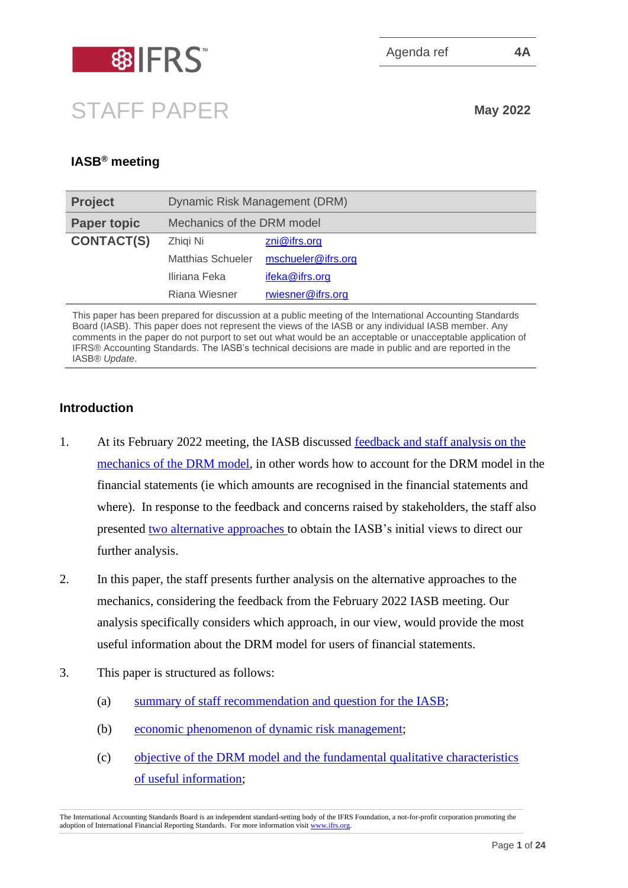

# STAFF PAPER **May <sup>2022</sup>**

# **IASB® meeting**

| <b>Project</b>     | Dynamic Risk Management (DRM) |                    |  |  |
|--------------------|-------------------------------|--------------------|--|--|
| <b>Paper topic</b> | Mechanics of the DRM model    |                    |  |  |
| <b>CONTACT(S)</b>  | Zhigi Ni                      | zni@ifrs.org       |  |  |
|                    | Matthias Schueler             | mschueler@ifrs.org |  |  |
|                    | Iliriana Feka                 | ifeka@ifrs.org     |  |  |
|                    | Riana Wiesner                 | rwiesner@ifrs.org  |  |  |

This paper has been prepared for discussion at a public meeting of the International Accounting Standards Board (IASB). This paper does not represent the views of the IASB or any individual IASB member. Any comments in the paper do not purport to set out what would be an acceptable or unacceptable application of IFRS® Accounting Standards. The IASB's technical decisions are made in public and are reported in the IASB® *Update*.

#### **Introduction**

- 1. At its February 2022 meeting, the IASB discussed [feedback and staff analysis on the](https://www.ifrs.org/content/dam/ifrs/meetings/2022/february/iasb/ap4a-mechanics-of-the-drm-model-feedback-and-staff-analysis.pdf)  [mechanics of the DRM model,](https://www.ifrs.org/content/dam/ifrs/meetings/2022/february/iasb/ap4a-mechanics-of-the-drm-model-feedback-and-staff-analysis.pdf) in other words how to account for the DRM model in the financial statements (ie which amounts are recognised in the financial statements and where). In response to the feedback and concerns raised by stakeholders, the staff also presented two [alternative approaches](https://www.ifrs.org/content/dam/ifrs/meetings/2022/february/iasb/ap4b-mechanics-of-the-drm-model-alternative-approaches.pdf) to obtain the IASB's initial views to direct our further analysis.
- 2. In this paper, the staff presents further analysis on the alternative approaches to the mechanics, considering the feedback from the February 2022 IASB meeting. Our analysis specifically considers which approach, in our view, would provide the most useful information about the DRM model for users of financial statements.
- 3. This paper is structured as follows:
	- (a) [summary of staff recommendation](#page-1-0) and question for the IASB;
	- (b) economic phenomenon [of dynamic risk management;](#page-2-0)
	- (c) [objective of the DRM model and the fundamental qualitative characteristics](#page-3-0) [of useful information;](#page-3-0)

The International Accounting Standards Board is an independent standard-setting body of the IFRS Foundation, a not-for-profit corporation promoting the adoption of International Financial Reporting Standards. For more information visi[t www.ifrs.org.](http://www.ifrs.org/)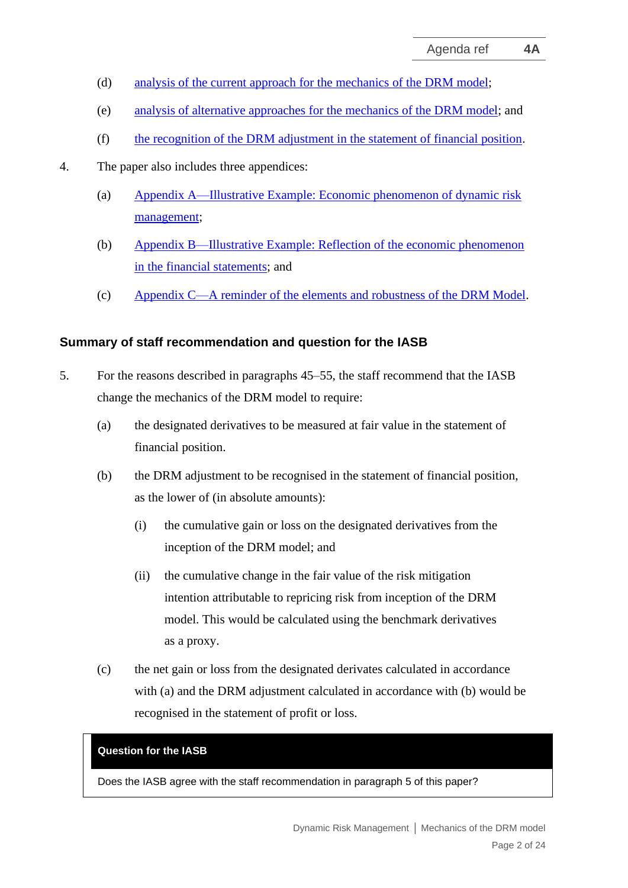- (d) [analysis of the current approach for](#page-6-0) the mechanics of the DRM model;
- (e) [analysis of alternative approaches for the mechanics of the DRM model;](#page-9-0) and
- (f) [the recognition of the DRM adjustment in the statement of financial position.](#page-15-0)
- 4. The paper also includes three appendices:
	- (a) Appendix A—Illustrative Example: Economic phenomenon of dynamic risk management;
	- (b) Appendix B—Illustrative Example: Reflection of the economic phenomenon in the financial statements; and
	- (c) Appendix C—A reminder of the elements and robustness of the DRM Model.

#### <span id="page-1-0"></span>**Summary of staff recommendation and question for the IASB**

- <span id="page-1-1"></span>5. For the reasons described in paragraphs [45–](#page-13-0)[55,](#page-16-0) the staff recommend that the IASB change the mechanics of the DRM model to require:
	- (a) the designated derivatives to be measured at fair value in the statement of financial position.
	- (b) the DRM adjustment to be recognised in the statement of financial position, as the lower of (in absolute amounts):
		- (i) the cumulative gain or loss on the designated derivatives from the inception of the DRM model; and
		- (ii) the cumulative change in the fair value of the risk mitigation intention attributable to repricing risk from inception of the DRM model. This would be calculated using the benchmark derivatives as a proxy.
	- (c) the net gain or loss from the designated derivates calculated in accordance with (a) and the DRM adjustment calculated in accordance with (b) would be recognised in the statement of profit or loss.

#### **Question for the IASB**

Does the IASB agree with the staff recommendation in paragraph [5](#page-1-1) of this paper?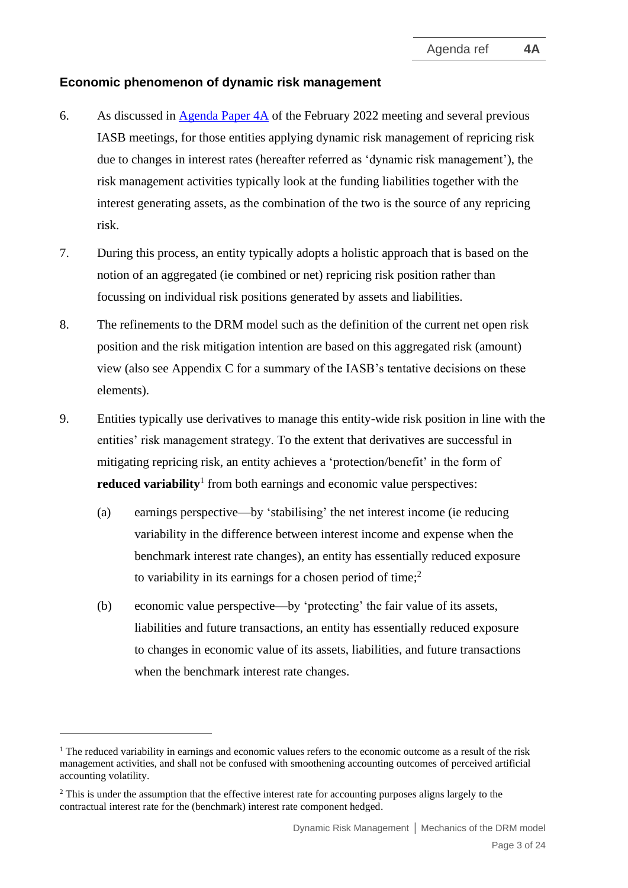#### <span id="page-2-0"></span>**Economic phenomenon of dynamic risk management**

- <span id="page-2-1"></span>6. As discussed in [Agenda Paper 4A](https://www.ifrs.org/content/dam/ifrs/meetings/2022/february/iasb/ap4a-mechanics-of-the-drm-model-feedback-and-staff-analysis.pdf) of the February 2022 meeting and several previous IASB meetings, for those entities applying dynamic risk management of repricing risk due to changes in interest rates (hereafter referred as 'dynamic risk management'), the risk management activities typically look at the funding liabilities together with the interest generating assets, as the combination of the two is the source of any repricing risk.
- 7. During this process, an entity typically adopts a holistic approach that is based on the notion of an aggregated (ie combined or net) repricing risk position rather than focussing on individual risk positions generated by assets and liabilities.
- 8. The refinements to the DRM model such as the definition of the current net open risk position and the risk mitigation intention are based on this aggregated risk (amount) view (also see Appendix C for a summary of the IASB's tentative decisions on these elements).
- <span id="page-2-3"></span><span id="page-2-2"></span>9. Entities typically use derivatives to manage this entity-wide risk position in line with the entities' risk management strategy. To the extent that derivatives are successful in mitigating repricing risk, an entity achieves a 'protection/benefit' in the form of **reduced variability**<sup>1</sup> from both earnings and economic value perspectives:
	- (a) earnings perspective—by 'stabilising' the net interest income (ie reducing variability in the difference between interest income and expense when the benchmark interest rate changes), an entity has essentially reduced exposure to variability in its earnings for a chosen period of time;<sup>2</sup>
	- (b) economic value perspective—by 'protecting' the fair value of its assets, liabilities and future transactions, an entity has essentially reduced exposure to changes in economic value of its assets, liabilities, and future transactions when the benchmark interest rate changes.

 $1$  The reduced variability in earnings and economic values refers to the economic outcome as a result of the risk management activities, and shall not be confused with smoothening accounting outcomes of perceived artificial accounting volatility.

<sup>&</sup>lt;sup>2</sup> This is under the assumption that the effective interest rate for accounting purposes aligns largely to the contractual interest rate for the (benchmark) interest rate component hedged.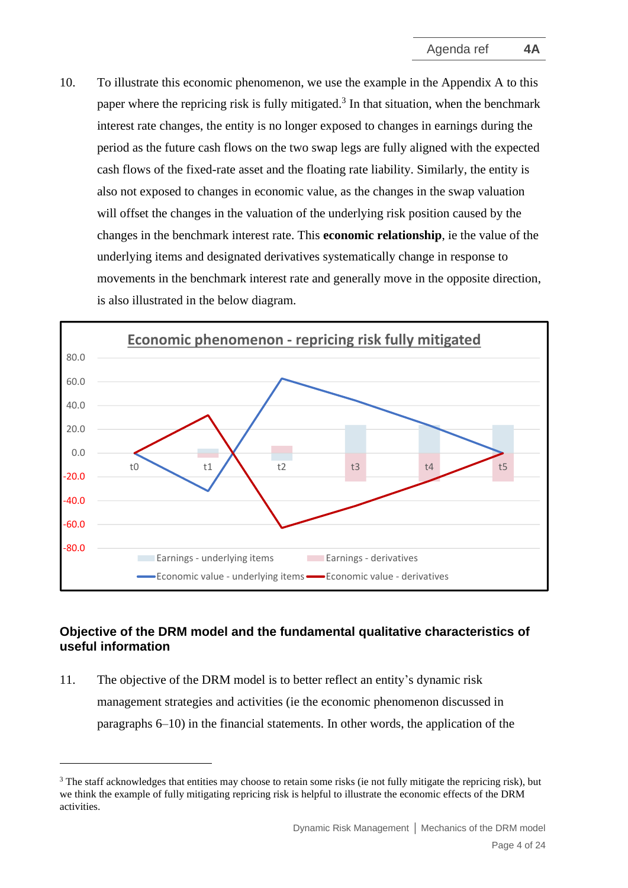<span id="page-3-1"></span>10. To illustrate this economic phenomenon, we use the example in the Appendix A to this paper where the repricing risk is fully mitigated.<sup>3</sup> In that situation, when the benchmark interest rate changes, the entity is no longer exposed to changes in earnings during the period as the future cash flows on the two swap legs are fully aligned with the expected cash flows of the fixed-rate asset and the floating rate liability. Similarly, the entity is also not exposed to changes in economic value, as the changes in the swap valuation will offset the changes in the valuation of the underlying risk position caused by the changes in the benchmark interest rate. This **economic relationship**, ie the value of the underlying items and designated derivatives systematically change in response to movements in the benchmark interest rate and generally move in the opposite direction, is also illustrated in the below diagram.



### <span id="page-3-0"></span>**Objective of the DRM model and the fundamental qualitative characteristics of useful information**

<span id="page-3-2"></span>11. The objective of the DRM model is to better reflect an entity's dynamic risk management strategies and activities (ie the economic phenomenon discussed in paragraphs [6–](#page-2-1)[10\)](#page-3-1) in the financial statements. In other words, the application of the

<sup>&</sup>lt;sup>3</sup> The staff acknowledges that entities may choose to retain some risks (ie not fully mitigate the repricing risk), but we think the example of fully mitigating repricing risk is helpful to illustrate the economic effects of the DRM activities.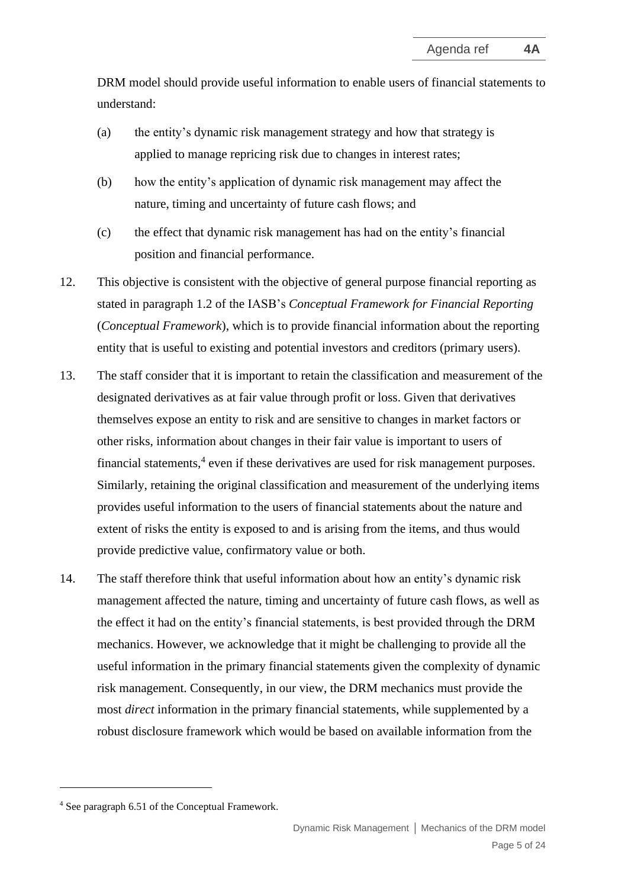DRM model should provide useful information to enable users of financial statements to understand:

- (a) the entity's dynamic risk management strategy and how that strategy is applied to manage repricing risk due to changes in interest rates;
- (b) how the entity's application of dynamic risk management may affect the nature, timing and uncertainty of future cash flows; and
- (c) the effect that dynamic risk management has had on the entity's financial position and financial performance.
- 12. This objective is consistent with the objective of general purpose financial reporting as stated in paragraph 1.2 of the IASB's *Conceptual Framework for Financial Reporting* (*Conceptual Framework*), which is to provide financial information about the reporting entity that is useful to existing and potential investors and creditors (primary users).
- 13. The staff consider that it is important to retain the classification and measurement of the designated derivatives as at fair value through profit or loss. Given that derivatives themselves expose an entity to risk and are sensitive to changes in market factors or other risks, information about changes in their fair value is important to users of financial statements, 4 even if these derivatives are used for risk management purposes. Similarly, retaining the original classification and measurement of the underlying items provides useful information to the users of financial statements about the nature and extent of risks the entity is exposed to and is arising from the items, and thus would provide predictive value, confirmatory value or both.
- 14. The staff therefore think that useful information about how an entity's dynamic risk management affected the nature, timing and uncertainty of future cash flows, as well as the effect it had on the entity's financial statements, is best provided through the DRM mechanics. However, we acknowledge that it might be challenging to provide all the useful information in the primary financial statements given the complexity of dynamic risk management. Consequently, in our view, the DRM mechanics must provide the most *direct* information in the primary financial statements, while supplemented by a robust disclosure framework which would be based on available information from the

<sup>4</sup> See paragraph 6.51 of the Conceptual Framework.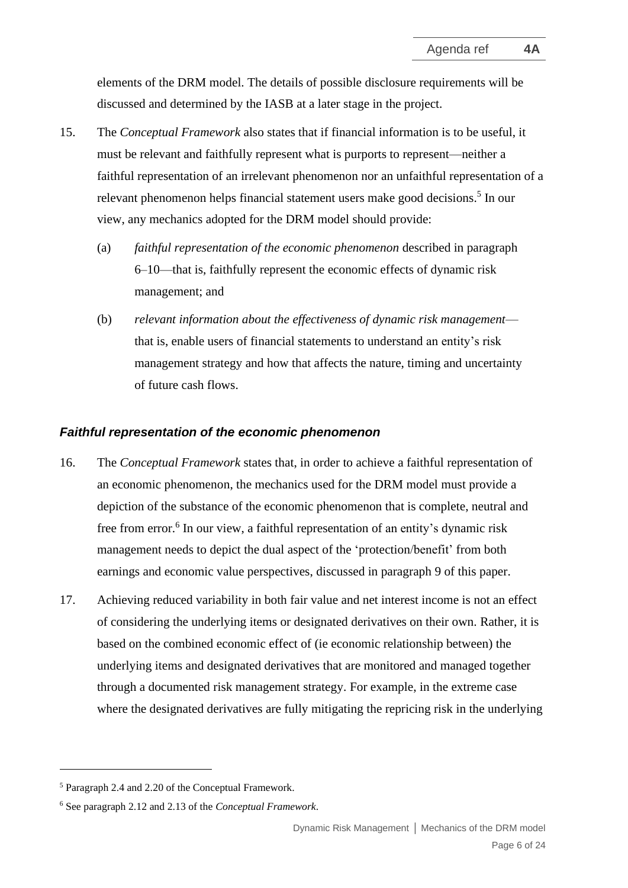elements of the DRM model. The details of possible disclosure requirements will be discussed and determined by the IASB at a later stage in the project.

- <span id="page-5-0"></span>15. The *Conceptual Framework* also states that if financial information is to be useful, it must be relevant and faithfully represent what is purports to represent—neither a faithful representation of an irrelevant phenomenon nor an unfaithful representation of a relevant phenomenon helps financial statement users make good decisions.<sup>5</sup> In our view, any mechanics adopted for the DRM model should provide:
	- (a) *faithful representation of the economic phenomenon* described in paragraph [6](#page-2-1)[–10—](#page-3-1)that is, faithfully represent the economic effects of dynamic risk management; and
	- (b) *relevant information about the effectiveness of dynamic risk management* that is, enable users of financial statements to understand an entity's risk management strategy and how that affects the nature, timing and uncertainty of future cash flows.

#### *Faithful representation of the economic phenomenon*

- 16. The *Conceptual Framework* states that, in order to achieve a faithful representation of an economic phenomenon, the mechanics used for the DRM model must provide a depiction of the substance of the economic phenomenon that is complete, neutral and free from error. 6 In our view, a faithful representation of an entity's dynamic risk management needs to depict the dual aspect of the 'protection/benefit' from both earnings and economic value perspectives, discussed in paragraph [9](#page-2-2) of this paper.
- 17. Achieving reduced variability in both fair value and net interest income is not an effect of considering the underlying items or designated derivatives on their own. Rather, it is based on the combined economic effect of (ie economic relationship between) the underlying items and designated derivatives that are monitored and managed together through a documented risk management strategy. For example, in the extreme case where the designated derivatives are fully mitigating the repricing risk in the underlying

<sup>5</sup> Paragraph 2.4 and 2.20 of the Conceptual Framework.

<sup>6</sup> See paragraph 2.12 and 2.13 of the *Conceptual Framework*.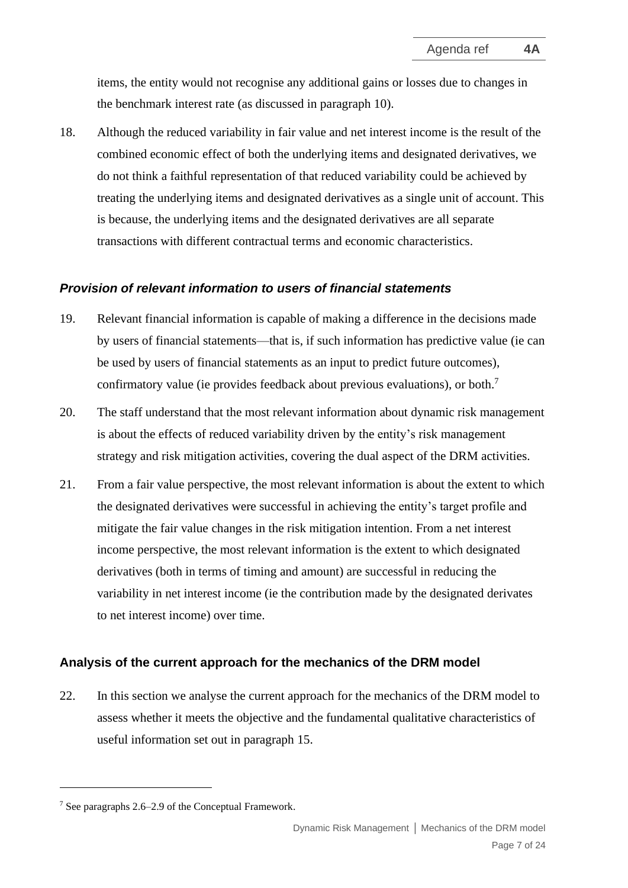items, the entity would not recognise any additional gains or losses due to changes in the benchmark interest rate (as discussed in paragraph [10\)](#page-3-1).

18. Although the reduced variability in fair value and net interest income is the result of the combined economic effect of both the underlying items and designated derivatives, we do not think a faithful representation of that reduced variability could be achieved by treating the underlying items and designated derivatives as a single unit of account. This is because, the underlying items and the designated derivatives are all separate transactions with different contractual terms and economic characteristics.

#### *Provision of relevant information to users of financial statements*

- 19. Relevant financial information is capable of making a difference in the decisions made by users of financial statements—that is, if such information has predictive value (ie can be used by users of financial statements as an input to predict future outcomes), confirmatory value (ie provides feedback about previous evaluations), or both.<sup>7</sup>
- 20. The staff understand that the most relevant information about dynamic risk management is about the effects of reduced variability driven by the entity's risk management strategy and risk mitigation activities, covering the dual aspect of the DRM activities.
- 21. From a fair value perspective, the most relevant information is about the extent to which the designated derivatives were successful in achieving the entity's target profile and mitigate the fair value changes in the risk mitigation intention. From a net interest income perspective, the most relevant information is the extent to which designated derivatives (both in terms of timing and amount) are successful in reducing the variability in net interest income (ie the contribution made by the designated derivates to net interest income) over time.

#### <span id="page-6-0"></span>**Analysis of the current approach for the mechanics of the DRM model**

<span id="page-6-1"></span>22. In this section we analyse the current approach for the mechanics of the DRM model to assess whether it meets the objective and the fundamental qualitative characteristics of useful information set out in paragraph [15.](#page-5-0)

<sup>7</sup> See paragraphs 2.6–2.9 of the Conceptual Framework.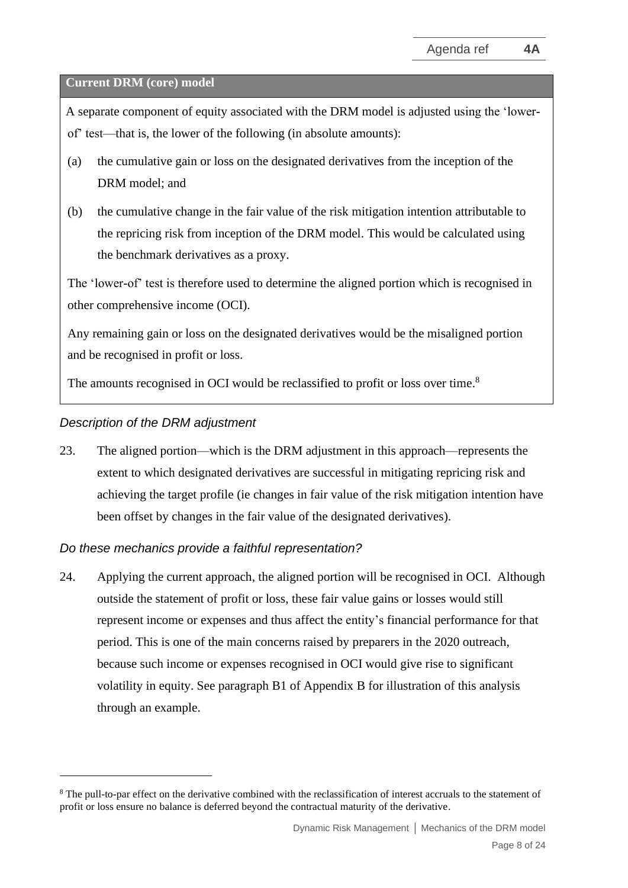#### **Current DRM (core) model**

A separate component of equity associated with the DRM model is adjusted using the 'lowerof' test—that is, the lower of the following (in absolute amounts):

- (a) the cumulative gain or loss on the designated derivatives from the inception of the DRM model; and
- (b) the cumulative change in the fair value of the risk mitigation intention attributable to the repricing risk from inception of the DRM model. This would be calculated using the benchmark derivatives as a proxy.

The 'lower-of' test is therefore used to determine the aligned portion which is recognised in other comprehensive income (OCI).

Any remaining gain or loss on the designated derivatives would be the misaligned portion and be recognised in profit or loss.

The amounts recognised in OCI would be reclassified to profit or loss over time.<sup>8</sup>

#### *Description of the DRM adjustment*

<span id="page-7-0"></span>23. The aligned portion—which is the DRM adjustment in this approach—represents the extent to which designated derivatives are successful in mitigating repricing risk and achieving the target profile (ie changes in fair value of the risk mitigation intention have been offset by changes in the fair value of the designated derivatives).

#### *Do these mechanics provide a faithful representation?*

24. Applying the current approach, the aligned portion will be recognised in OCI. Although outside the statement of profit or loss, these fair value gains or losses would still represent income or expenses and thus affect the entity's financial performance for that period. This is one of the main concerns raised by preparers in the 2020 outreach, because such income or expenses recognised in OCI would give rise to significant volatility in equity. See paragraph [B1](#page-20-0) of Appendix B for illustration of this analysis through an example.

<sup>&</sup>lt;sup>8</sup> The pull-to-par effect on the derivative combined with the reclassification of interest accruals to the statement of profit or loss ensure no balance is deferred beyond the contractual maturity of the derivative.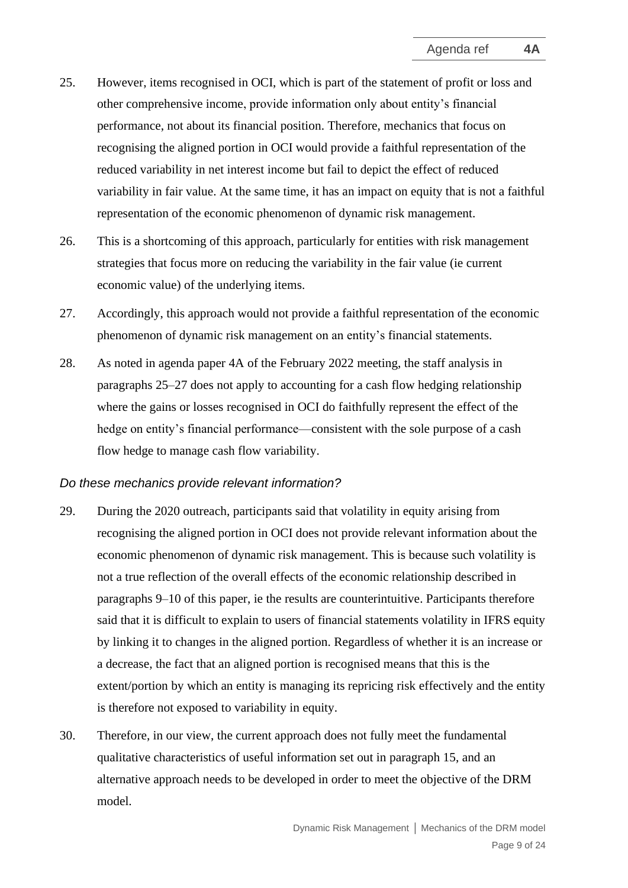- <span id="page-8-0"></span>25. However, items recognised in OCI, which is part of the statement of profit or loss and other comprehensive income, provide information only about entity's financial performance, not about its financial position. Therefore, mechanics that focus on recognising the aligned portion in OCI would provide a faithful representation of the reduced variability in net interest income but fail to depict the effect of reduced variability in fair value. At the same time, it has an impact on equity that is not a faithful representation of the economic phenomenon of dynamic risk management.
- 26. This is a shortcoming of this approach, particularly for entities with risk management strategies that focus more on reducing the variability in the fair value (ie current economic value) of the underlying items.
- <span id="page-8-1"></span>27. Accordingly, this approach would not provide a faithful representation of the economic phenomenon of dynamic risk management on an entity's financial statements.
- 28. As noted in agenda paper 4A of the February 2022 meeting, the staff analysis in paragraphs [25–](#page-8-0)[27](#page-8-1) does not apply to accounting for a cash flow hedging relationship where the gains or losses recognised in OCI do faithfully represent the effect of the hedge on entity's financial performance—consistent with the sole purpose of a cash flow hedge to manage cash flow variability.

#### *Do these mechanics provide relevant information?*

- 29. During the 2020 outreach, participants said that volatility in equity arising from recognising the aligned portion in OCI does not provide relevant information about the economic phenomenon of dynamic risk management. This is because such volatility is not a true reflection of the overall effects of the economic relationship described in paragraphs [9–](#page-2-2)[10](#page-3-1) of this paper, ie the results are counterintuitive. Participants therefore said that it is difficult to explain to users of financial statements volatility in IFRS equity by linking it to changes in the aligned portion. Regardless of whether it is an increase or a decrease, the fact that an aligned portion is recognised means that this is the extent/portion by which an entity is managing its repricing risk effectively and the entity is therefore not exposed to variability in equity.
- <span id="page-8-2"></span>30. Therefore, in our view, the current approach does not fully meet the fundamental qualitative characteristics of useful information set out in paragraph [15,](#page-5-0) and an alternative approach needs to be developed in order to meet the objective of the DRM model.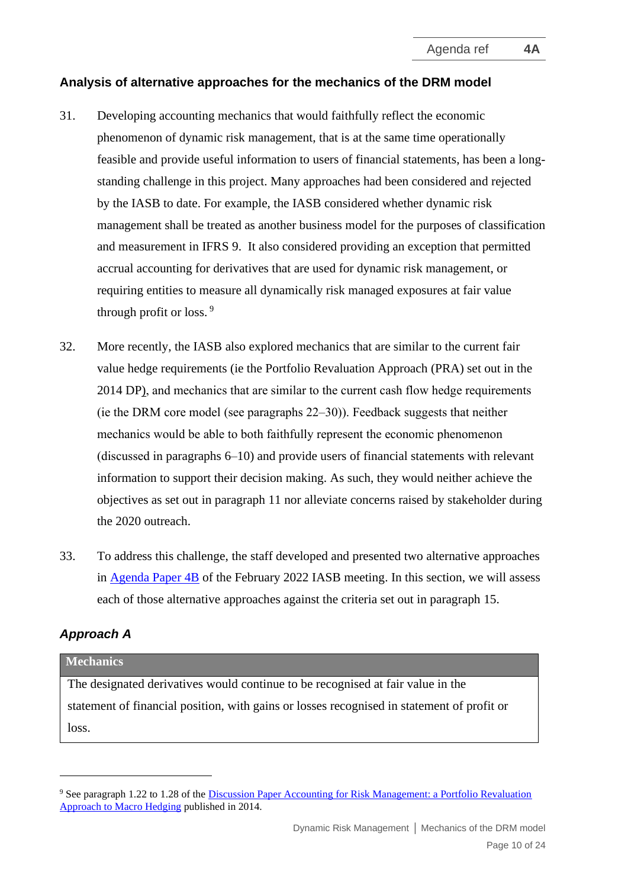#### <span id="page-9-0"></span>**Analysis of alternative approaches for the mechanics of the DRM model**

- 31. Developing accounting mechanics that would faithfully reflect the economic phenomenon of dynamic risk management, that is at the same time operationally feasible and provide useful information to users of financial statements, has been a longstanding challenge in this project. Many approaches had been considered and rejected by the IASB to date. For example, the IASB considered whether dynamic risk management shall be treated as another business model for the purposes of classification and measurement in IFRS 9. It also considered providing an exception that permitted accrual accounting for derivatives that are used for dynamic risk management, or requiring entities to measure all dynamically risk managed exposures at fair value through profit or loss. <sup>9</sup>
- 32. More recently, the IASB also explored mechanics that are similar to the current fair value hedge requirements (ie the Portfolio Revaluation Approach (PRA) set out in the 2014 DP), and mechanics that are similar to the current cash flow hedge requirements (ie the DRM core model (see paragraphs [22–](#page-6-1)[30\)](#page-8-2)). Feedback suggests that neither mechanics would be able to both faithfully represent the economic phenomenon (discussed in paragraphs [6](#page-2-1)[–10\)](#page-3-1) and provide users of financial statements with relevant information to support their decision making. As such, they would neither achieve the objectives as set out in paragraph [11](#page-3-2) nor alleviate concerns raised by stakeholder during the 2020 outreach.
- 33. To address this challenge, the staff developed and presented two alternative approaches in [Agenda Paper 4B](https://www.ifrs.org/content/dam/ifrs/meetings/2021/november/iasb/ap4b-drm-designation-of-a-proportion-of-prepayable-assets-in-the-drm-model.pdf) of the February 2022 IASB meeting. In this section, we will assess each of those alternative approaches against the criteria set out in paragraph [15.](#page-5-0)

# *Approach A*

#### **Mechanics**

The designated derivatives would continue to be recognised at fair value in the statement of financial position, with gains or losses recognised in statement of profit or loss.

<sup>9</sup> See paragraph 1.22 to 1.28 of the [Discussion Paper Accounting for Risk Management: a Portfolio Revaluation](https://www.ifrs.org/content/dam/ifrs/project/dynamic-risk-management/discussion-paper/published-documents/dp-accounting-for-dynamic-risk-management.pdf)  [Approach to Macro Hedging](https://www.ifrs.org/content/dam/ifrs/project/dynamic-risk-management/discussion-paper/published-documents/dp-accounting-for-dynamic-risk-management.pdf) published in 2014.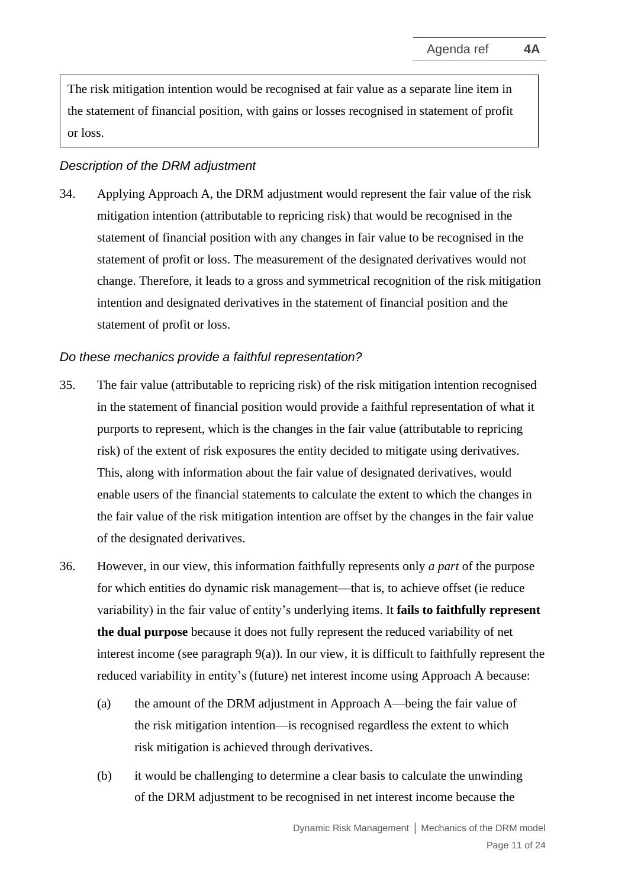The risk mitigation intention would be recognised at fair value as a separate line item in the statement of financial position, with gains or losses recognised in statement of profit or loss.

#### *Description of the DRM adjustment*

34. Applying Approach A, the DRM adjustment would represent the fair value of the risk mitigation intention (attributable to repricing risk) that would be recognised in the statement of financial position with any changes in fair value to be recognised in the statement of profit or loss. The measurement of the designated derivatives would not change. Therefore, it leads to a gross and symmetrical recognition of the risk mitigation intention and designated derivatives in the statement of financial position and the statement of profit or loss.

#### *Do these mechanics provide a faithful representation?*

- 35. The fair value (attributable to repricing risk) of the risk mitigation intention recognised in the statement of financial position would provide a faithful representation of what it purports to represent, which is the changes in the fair value (attributable to repricing risk) of the extent of risk exposures the entity decided to mitigate using derivatives. This, along with information about the fair value of designated derivatives, would enable users of the financial statements to calculate the extent to which the changes in the fair value of the risk mitigation intention are offset by the changes in the fair value of the designated derivatives.
- 36. However, in our view, this information faithfully represents only *a part* of the purpose for which entities do dynamic risk management—that is, to achieve offset (ie reduce variability) in the fair value of entity's underlying items. It **fails to faithfully represent the dual purpose** because it does not fully represent the reduced variability of net interest income (see paragraph [9\(a\)\)](#page-2-3). In our view, it is difficult to faithfully represent the reduced variability in entity's (future) net interest income using Approach A because:
	- (a) the amount of the DRM adjustment in Approach A—being the fair value of the risk mitigation intention—is recognised regardless the extent to which risk mitigation is achieved through derivatives.
	- (b) it would be challenging to determine a clear basis to calculate the unwinding of the DRM adjustment to be recognised in net interest income because the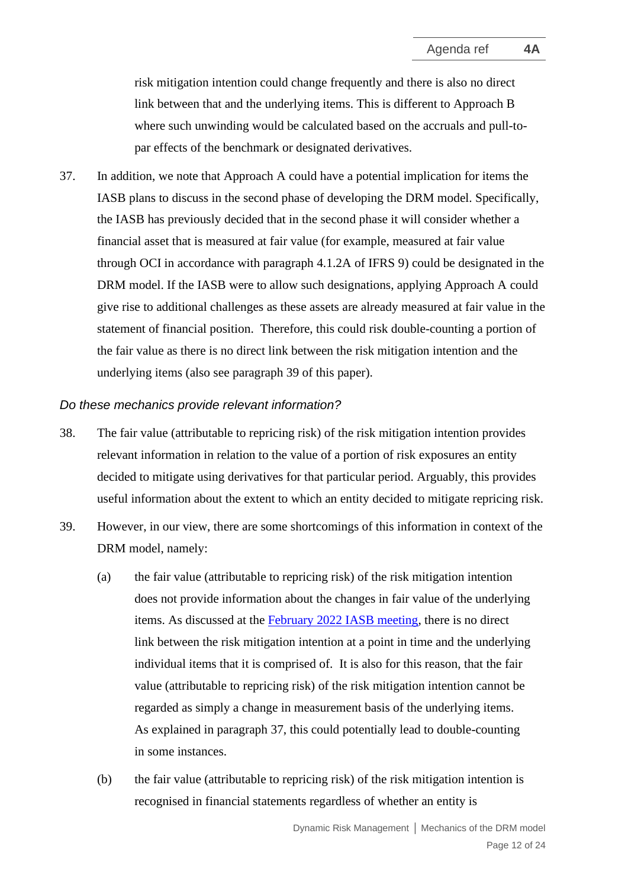risk mitigation intention could change frequently and there is also no direct link between that and the underlying items. This is different to Approach B where such unwinding would be calculated based on the accruals and pull-topar effects of the benchmark or designated derivatives.

<span id="page-11-1"></span>37. In addition, we note that Approach A could have a potential implication for items the IASB plans to discuss in the second phase of developing the DRM model. Specifically, the IASB has previously decided that in the second phase it will consider whether a financial asset that is measured at fair value (for example, measured at fair value through OCI in accordance with paragraph 4.1.2A of IFRS 9) could be designated in the DRM model. If the IASB were to allow such designations, applying Approach A could give rise to additional challenges as these assets are already measured at fair value in the statement of financial position. Therefore, this could risk double-counting a portion of the fair value as there is no direct link between the risk mitigation intention and the underlying items (also see paragraph [39](#page-11-0) of this paper).

#### *Do these mechanics provide relevant information?*

- 38. The fair value (attributable to repricing risk) of the risk mitigation intention provides relevant information in relation to the value of a portion of risk exposures an entity decided to mitigate using derivatives for that particular period. Arguably, this provides useful information about the extent to which an entity decided to mitigate repricing risk.
- <span id="page-11-0"></span>39. However, in our view, there are some shortcomings of this information in context of the DRM model, namely:
	- (a) the fair value (attributable to repricing risk) of the risk mitigation intention does not provide information about the changes in fair value of the underlying items. As discussed at the [February 2022 IASB meeting,](https://www.ifrs.org/content/dam/ifrs/meetings/2022/february/iasb/ap4b-mechanics-of-the-drm-model-alternative-approaches.pdf) there is no direct link between the risk mitigation intention at a point in time and the underlying individual items that it is comprised of. It is also for this reason, that the fair value (attributable to repricing risk) of the risk mitigation intention cannot be regarded as simply a change in measurement basis of the underlying items. As explained in paragraph [37,](#page-11-1) this could potentially lead to double-counting in some instances.
	- (b) the fair value (attributable to repricing risk) of the risk mitigation intention is recognised in financial statements regardless of whether an entity is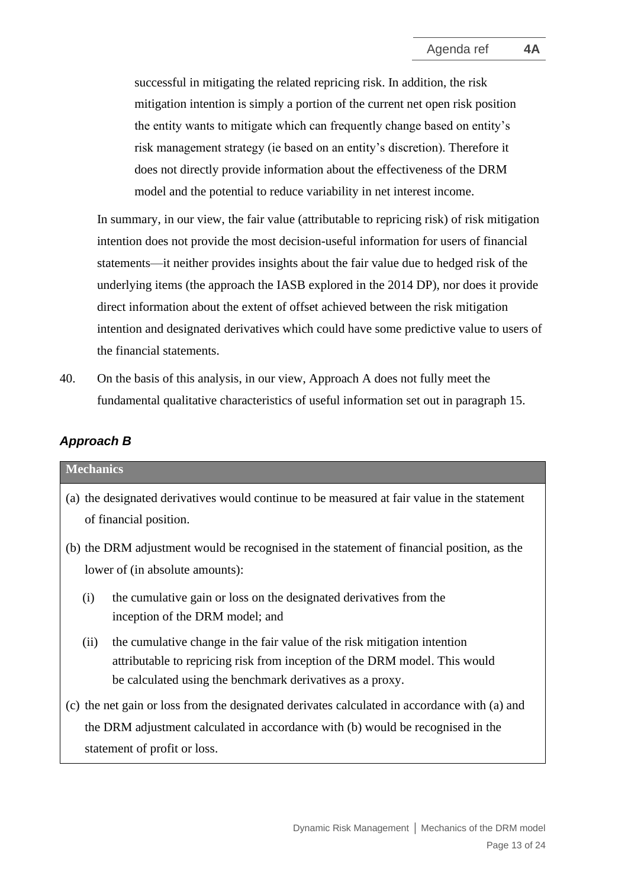successful in mitigating the related repricing risk. In addition, the risk mitigation intention is simply a portion of the current net open risk position the entity wants to mitigate which can frequently change based on entity's risk management strategy (ie based on an entity's discretion). Therefore it does not directly provide information about the effectiveness of the DRM model and the potential to reduce variability in net interest income.

In summary, in our view, the fair value (attributable to repricing risk) of risk mitigation intention does not provide the most decision-useful information for users of financial statements—it neither provides insights about the fair value due to hedged risk of the underlying items (the approach the IASB explored in the 2014 DP), nor does it provide direct information about the extent of offset achieved between the risk mitigation intention and designated derivatives which could have some predictive value to users of the financial statements.

40. On the basis of this analysis, in our view, Approach A does not fully meet the fundamental qualitative characteristics of useful information set out in paragraph [15.](#page-5-0)

# *Approach B*

| <b>Mechanics</b>                                                                                                                                                                                                            |  |  |  |  |  |
|-----------------------------------------------------------------------------------------------------------------------------------------------------------------------------------------------------------------------------|--|--|--|--|--|
| (a) the designated derivatives would continue to be measured at fair value in the statement<br>of financial position.                                                                                                       |  |  |  |  |  |
| (b) the DRM adjustment would be recognised in the statement of financial position, as the<br>lower of (in absolute amounts):                                                                                                |  |  |  |  |  |
| the cumulative gain or loss on the designated derivatives from the<br>(i)<br>inception of the DRM model; and                                                                                                                |  |  |  |  |  |
| (ii)<br>the cumulative change in the fair value of the risk mitigation intention<br>attributable to repricing risk from inception of the DRM model. This would<br>be calculated using the benchmark derivatives as a proxy. |  |  |  |  |  |
| (c) the net gain or loss from the designated derivates calculated in accordance with (a) and<br>the DRM adjustment calculated in accordance with (b) would be recognised in the<br>statement of profit or loss.             |  |  |  |  |  |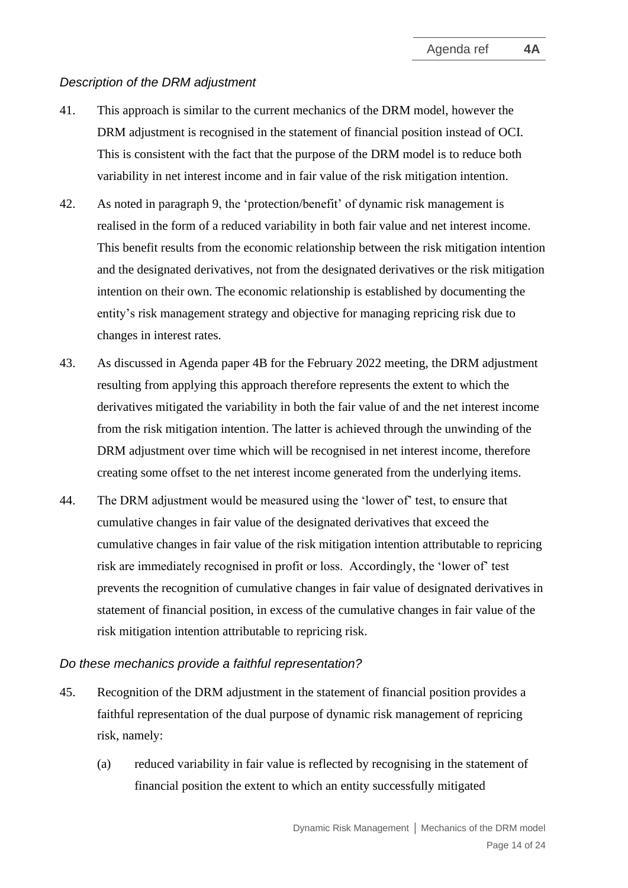#### *Description of the DRM adjustment*

- 41. This approach is similar to the current mechanics of the DRM model, however the DRM adjustment is recognised in the statement of financial position instead of OCI. This is consistent with the fact that the purpose of the DRM model is to reduce both variability in net interest income and in fair value of the risk mitigation intention.
- 42. As noted in paragraph [9,](#page-2-2) the 'protection/benefit' of dynamic risk management is realised in the form of a reduced variability in both fair value and net interest income. This benefit results from the economic relationship between the risk mitigation intention and the designated derivatives, not from the designated derivatives or the risk mitigation intention on their own. The economic relationship is established by documenting the entity's risk management strategy and objective for managing repricing risk due to changes in interest rates.
- <span id="page-13-1"></span>43. As discussed in Agenda paper 4B for the February 2022 meeting, the DRM adjustment resulting from applying this approach therefore represents the extent to which the derivatives mitigated the variability in both the fair value of and the net interest income from the risk mitigation intention. The latter is achieved through the unwinding of the DRM adjustment over time which will be recognised in net interest income, therefore creating some offset to the net interest income generated from the underlying items.
- 44. The DRM adjustment would be measured using the 'lower of' test, to ensure that cumulative changes in fair value of the designated derivatives that exceed the cumulative changes in fair value of the risk mitigation intention attributable to repricing risk are immediately recognised in profit or loss. Accordingly, the 'lower of' test prevents the recognition of cumulative changes in fair value of designated derivatives in statement of financial position, in excess of the cumulative changes in fair value of the risk mitigation intention attributable to repricing risk.

#### *Do these mechanics provide a faithful representation?*

- <span id="page-13-0"></span>45. Recognition of the DRM adjustment in the statement of financial position provides a faithful representation of the dual purpose of dynamic risk management of repricing risk, namely:
	- (a) reduced variability in fair value is reflected by recognising in the statement of financial position the extent to which an entity successfully mitigated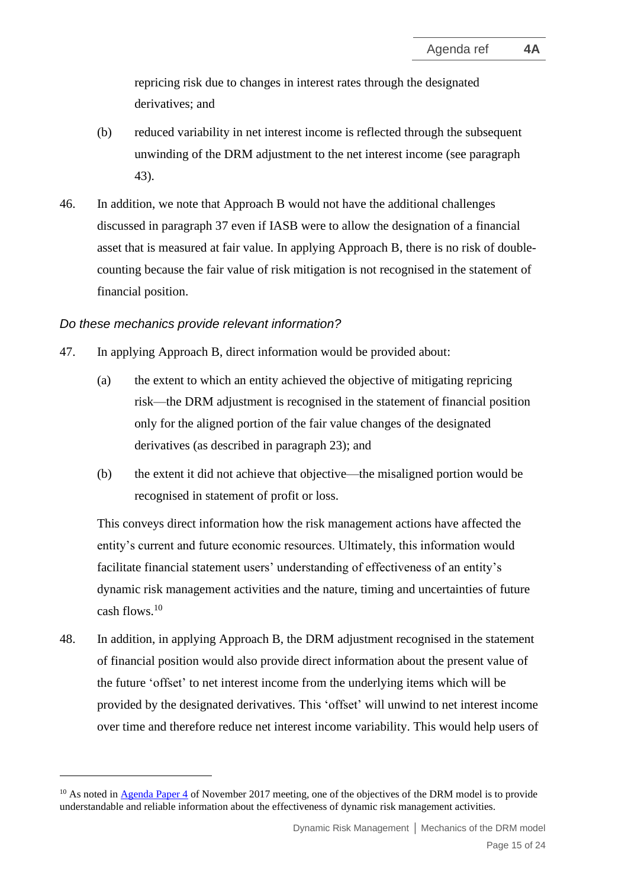repricing risk due to changes in interest rates through the designated derivatives; and

- (b) reduced variability in net interest income is reflected through the subsequent unwinding of the DRM adjustment to the net interest income (see paragraph [43\)](#page-13-1).
- 46. In addition, we note that Approach B would not have the additional challenges discussed in paragraph [37](#page-11-1) even if IASB were to allow the designation of a financial asset that is measured at fair value. In applying Approach B, there is no risk of doublecounting because the fair value of risk mitigation is not recognised in the statement of financial position.

#### *Do these mechanics provide relevant information?*

- 47. In applying Approach B, direct information would be provided about:
	- (a) the extent to which an entity achieved the objective of mitigating repricing risk—the DRM adjustment is recognised in the statement of financial position only for the aligned portion of the fair value changes of the designated derivatives (as described in paragraph [23\)](#page-7-0); and
	- (b) the extent it did not achieve that objective—the misaligned portion would be recognised in statement of profit or loss.

This conveys direct information how the risk management actions have affected the entity's current and future economic resources. Ultimately, this information would facilitate financial statement users' understanding of effectiveness of an entity's dynamic risk management activities and the nature, timing and uncertainties of future cash flows. 10

48. In addition, in applying Approach B, the DRM adjustment recognised in the statement of financial position would also provide direct information about the present value of the future 'offset' to net interest income from the underlying items which will be provided by the designated derivatives. This 'offset' will unwind to net interest income over time and therefore reduce net interest income variability. This would help users of

<sup>&</sup>lt;sup>10</sup> As noted in [Agenda Paper 4](https://www.ifrs.org/content/dam/ifrs/meetings/2017/november/iasb/dynamic-risk-management/ap4-dynamic-risk-management.pdf) of November 2017 meeting, one of the objectives of the DRM model is to provide understandable and reliable information about the effectiveness of dynamic risk management activities.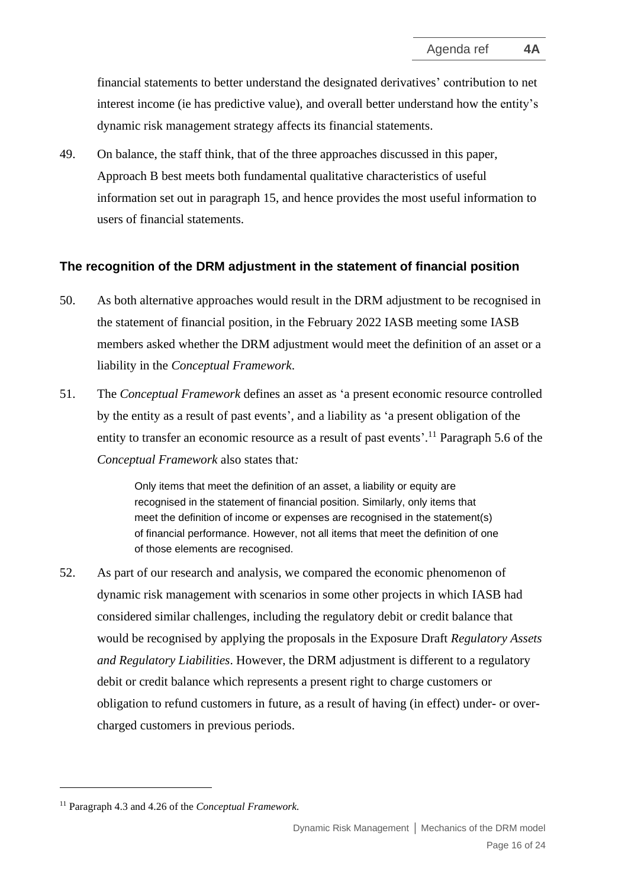financial statements to better understand the designated derivatives' contribution to net interest income (ie has predictive value), and overall better understand how the entity's dynamic risk management strategy affects its financial statements.

<span id="page-15-1"></span>49. On balance, the staff think, that of the three approaches discussed in this paper, Approach B best meets both fundamental qualitative characteristics of useful information set out in paragraph [15,](#page-5-0) and hence provides the most useful information to users of financial statements.

#### <span id="page-15-0"></span>**The recognition of the DRM adjustment in the statement of financial position**

- 50. As both alternative approaches would result in the DRM adjustment to be recognised in the statement of financial position, in the February 2022 IASB meeting some IASB members asked whether the DRM adjustment would meet the definition of an asset or a liability in the *Conceptual Framework*.
- 51. The *Conceptual Framework* defines an asset as 'a present economic resource controlled by the entity as a result of past events', and a liability as 'a present obligation of the entity to transfer an economic resource as a result of past events'.<sup>11</sup> Paragraph 5.6 of the *Conceptual Framework* also states that*:*

Only items that meet the definition of an asset, a liability or equity are recognised in the statement of financial position. Similarly, only items that meet the definition of income or expenses are recognised in the statement(s) of financial performance. However, not all items that meet the definition of one of those elements are recognised.

52. As part of our research and analysis, we compared the economic phenomenon of dynamic risk management with scenarios in some other projects in which IASB had considered similar challenges, including the regulatory debit or credit balance that would be recognised by applying the proposals in the Exposure Draft *Regulatory Assets and Regulatory Liabilities*. However, the DRM adjustment is different to a regulatory debit or credit balance which represents a present right to charge customers or obligation to refund customers in future, as a result of having (in effect) under- or overcharged customers in previous periods.

<sup>11</sup> Paragraph 4.3 and 4.26 of the *Conceptual Framework.*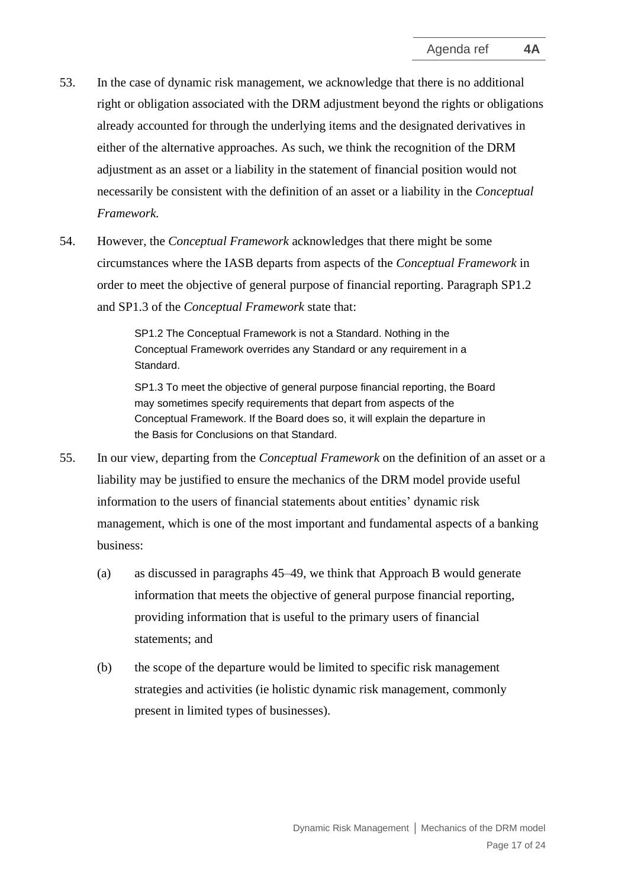- 53. In the case of dynamic risk management, we acknowledge that there is no additional right or obligation associated with the DRM adjustment beyond the rights or obligations already accounted for through the underlying items and the designated derivatives in either of the alternative approaches. As such, we think the recognition of the DRM adjustment as an asset or a liability in the statement of financial position would not necessarily be consistent with the definition of an asset or a liability in the *Conceptual Framework.*
- 54. However, the *Conceptual Framework* acknowledges that there might be some circumstances where the IASB departs from aspects of the *Conceptual Framework* in order to meet the objective of general purpose of financial reporting. Paragraph SP1.2 and SP1.3 of the *Conceptual Framework* state that:

SP1.2 The Conceptual Framework is not a Standard. Nothing in the Conceptual Framework overrides any Standard or any requirement in a Standard.

SP1.3 To meet the objective of general purpose financial reporting, the Board may sometimes specify requirements that depart from aspects of the Conceptual Framework. If the Board does so, it will explain the departure in the Basis for Conclusions on that Standard.

- <span id="page-16-0"></span>55. In our view, departing from the *Conceptual Framework* on the definition of an asset or a liability may be justified to ensure the mechanics of the DRM model provide useful information to the users of financial statements about entities' dynamic risk management, which is one of the most important and fundamental aspects of a banking business:
	- (a) as discussed in paragraphs [45](#page-13-0)[–49,](#page-15-1) we think that Approach B would generate information that meets the objective of general purpose financial reporting, providing information that is useful to the primary users of financial statements; and
	- (b) the scope of the departure would be limited to specific risk management strategies and activities (ie holistic dynamic risk management, commonly present in limited types of businesses).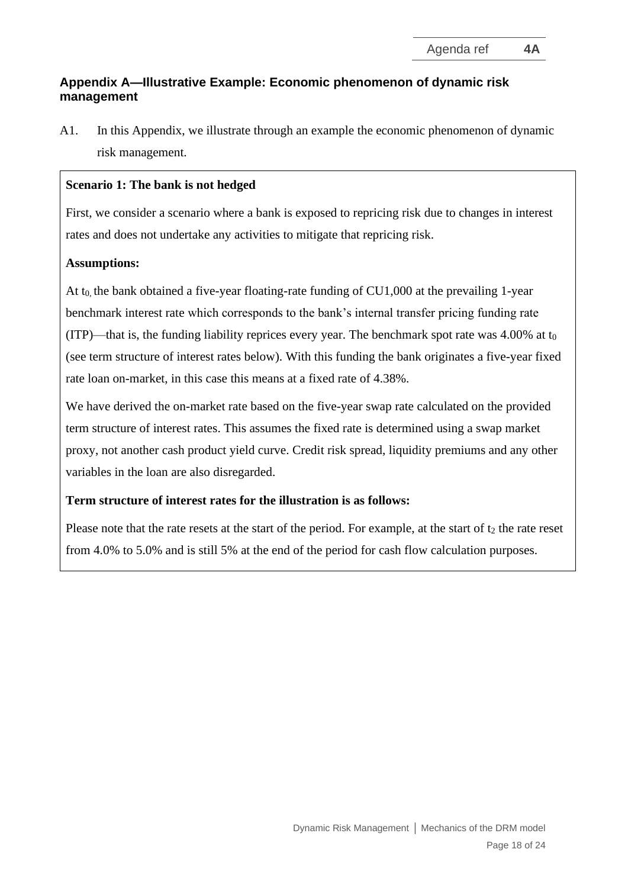# **Appendix A—Illustrative Example: Economic phenomenon of dynamic risk management**

A1. In this Appendix, we illustrate through an example the economic phenomenon of dynamic risk management.

#### **Scenario 1: The bank is not hedged**

First, we consider a scenario where a bank is exposed to repricing risk due to changes in interest rates and does not undertake any activities to mitigate that repricing risk.

#### **Assumptions:**

At  $t_0$  the bank obtained a five-year floating-rate funding of CU1,000 at the prevailing 1-year benchmark interest rate which corresponds to the bank's internal transfer pricing funding rate (ITP)—that is, the funding liability reprices every year. The benchmark spot rate was  $4.00\%$  at t<sub>0</sub> (see term structure of interest rates below). With this funding the bank originates a five-year fixed rate loan on-market, in this case this means at a fixed rate of 4.38%.

We have derived the on-market rate based on the five-year swap rate calculated on the provided term structure of interest rates. This assumes the fixed rate is determined using a swap market proxy, not another cash product yield curve. Credit risk spread, liquidity premiums and any other variables in the loan are also disregarded.

#### **Term structure of interest rates for the illustration is as follows:**

Please note that the rate resets at the start of the period. For example, at the start of  $t_2$  the rate reset from 4.0% to 5.0% and is still 5% at the end of the period for cash flow calculation purposes.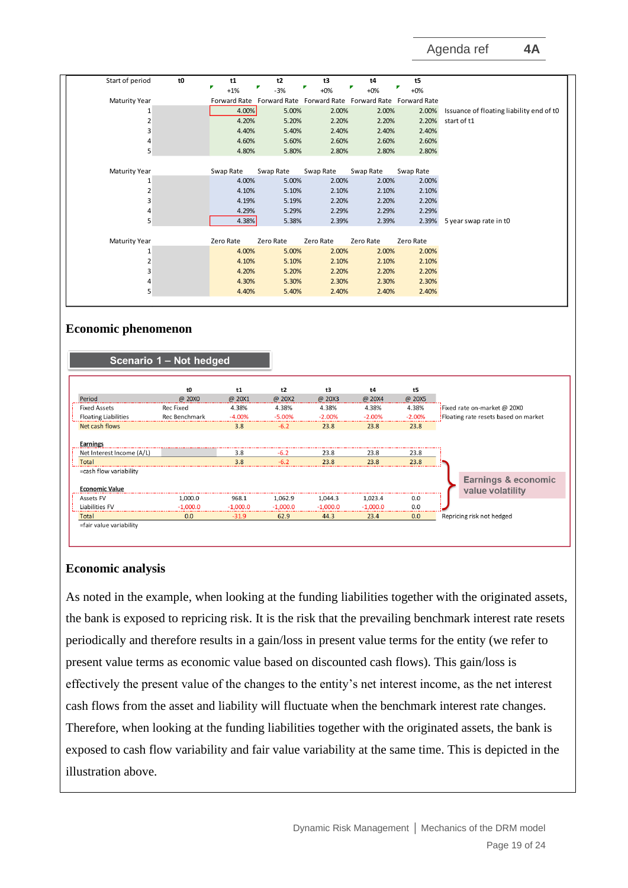| Start of period      | t0 | t1           | t2        | t3                                                  | t4        | t5        |                                          |
|----------------------|----|--------------|-----------|-----------------------------------------------------|-----------|-----------|------------------------------------------|
|                      |    | $+1%$        | -3%       | $+0\%$                                              | $+0\%$    | $+0\%$    |                                          |
| <b>Maturity Year</b> |    | Forward Rate |           | Forward Rate Forward Rate Forward Rate Forward Rate |           |           |                                          |
|                      |    | 4.00%        | 5.00%     | 2.00%                                               | 2.00%     | 2.00%     | Issuance of floating liability end of t0 |
| 2                    |    | 4.20%        | 5.20%     | 2.20%                                               | 2.20%     | 2.20%     | start of t1                              |
| 3                    |    | 4.40%        | 5.40%     | 2.40%                                               | 2.40%     | 2.40%     |                                          |
| 4                    |    | 4.60%        | 5.60%     | 2.60%                                               | 2.60%     | 2.60%     |                                          |
| 5                    |    | 4.80%        | 5.80%     | 2.80%                                               | 2.80%     | 2.80%     |                                          |
|                      |    |              |           |                                                     |           |           |                                          |
| <b>Maturity Year</b> |    | Swap Rate    | Swap Rate | Swap Rate                                           | Swap Rate | Swap Rate |                                          |
|                      |    | 4.00%        | 5.00%     | 2.00%                                               | 2.00%     | 2.00%     |                                          |
| 2                    |    | 4.10%        | 5.10%     | 2.10%                                               | 2.10%     | 2.10%     |                                          |
| 3                    |    | 4.19%        | 5.19%     | 2.20%                                               | 2.20%     | 2.20%     |                                          |
| 4                    |    | 4.29%        | 5.29%     | 2.29%                                               | 2.29%     | 2.29%     |                                          |
| 5                    |    | 4.38%        | 5.38%     | 2.39%                                               | 2.39%     | 2.39%     | 5 year swap rate in t0                   |
|                      |    |              |           |                                                     |           |           |                                          |
| <b>Maturity Year</b> |    | Zero Rate    | Zero Rate | Zero Rate                                           | Zero Rate | Zero Rate |                                          |
|                      |    | 4.00%        | 5.00%     | 2.00%                                               | 2.00%     | 2.00%     |                                          |
|                      |    | 4.10%        | 5.10%     | 2.10%                                               | 2.10%     | 2.10%     |                                          |
| 3                    |    | 4.20%        | 5.20%     | 2.20%                                               | 2.20%     | 2.20%     |                                          |
|                      |    | 4.30%        | 5.30%     | 2.30%                                               | 2.30%     | 2.30%     |                                          |
| 5                    |    | 4.40%        | 5.40%     | 2.40%                                               | 2.40%     | 2.40%     |                                          |

#### **Economic phenomenon**



#### **Economic analysis**

As noted in the example, when looking at the funding liabilities together with the originated assets, the bank is exposed to repricing risk. It is the risk that the prevailing benchmark interest rate resets periodically and therefore results in a gain/loss in present value terms for the entity (we refer to present value terms as economic value based on discounted cash flows). This gain/loss is effectively the present value of the changes to the entity's net interest income, as the net interest cash flows from the asset and liability will fluctuate when the benchmark interest rate changes. Therefore, when looking at the funding liabilities together with the originated assets, the bank is exposed to cash flow variability and fair value variability at the same time. This is depicted in the illustration above.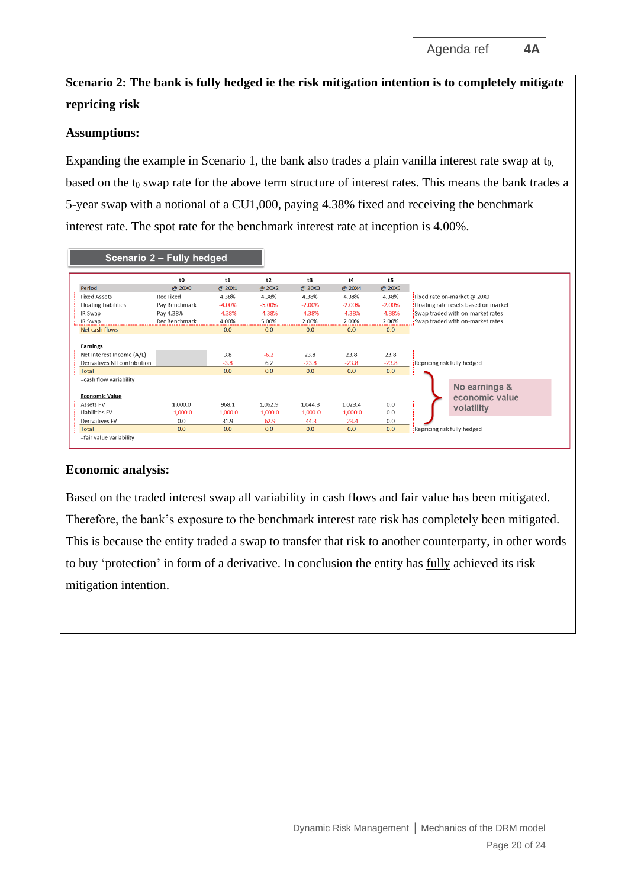# **Scenario 2: The bank is fully hedged ie the risk mitigation intention is to completely mitigate repricing risk**

#### **Assumptions:**

Expanding the example in Scenario 1, the bank also trades a plain vanilla interest rate swap at  $t_0$ , based on the t<sub>0</sub> swap rate for the above term structure of interest rates. This means the bank trades a 5-year swap with a notional of a CU1,000, paying 4.38% fixed and receiving the benchmark interest rate. The spot rate for the benchmark interest rate at inception is 4.00%.

|                                                                                       | Scenario 2 - Fully hedged |                      |                      |                        |                        |                        |                                                                      |  |
|---------------------------------------------------------------------------------------|---------------------------|----------------------|----------------------|------------------------|------------------------|------------------------|----------------------------------------------------------------------|--|
|                                                                                       | t <sub>0</sub>            | t1                   | t2                   | t3                     | t4                     | t5                     |                                                                      |  |
| Period                                                                                | @ 20X0                    | @ 20X1               | @ 20X2               | @ 20X3                 | @ 20X4                 | @ 20X5                 |                                                                      |  |
| <b>Fixed Assets</b>                                                                   | Rec Fixed                 | 4.38%                | 4.38%                | 4.38%                  | 4.38%                  | 4.38%                  | Fixed rate on-market @ 20X0<br>Floating rate resets based on market! |  |
| <b>Floating Liabilities</b>                                                           | Pay Benchmark             | $-4.00%$             | $-5.00%$             | $-2.00%$               | $-2.00%$               | $-2.00%$               |                                                                      |  |
| IR Swap                                                                               | Pay 4.38%                 | $-4.38%$             | $-4.38%$             | $-4.38%$               | $-4.38%$               | $-4.38%$               | Swap traded with on-market rates                                     |  |
| IR Swap                                                                               | Rec Benchmark             | 4.00%                | 5.00%                | 2.00%                  | 2.00%                  | 2.00%                  | Swap traded with on-market rates                                     |  |
| Net cash flows                                                                        |                           | 0.0                  | 0.0                  | 0.0                    | 0.0                    | 0.0                    |                                                                      |  |
| <b>Earnings</b><br>Net Interest Income (A/L)<br>Derivatives NII contribution<br>Total |                           | 3.8<br>$-3.8$<br>0.0 | $-6.2$<br>6.2<br>0.0 | 23.8<br>$-23.8$<br>0.0 | 23.8<br>$-23.8$<br>0.0 | 23.8<br>$-23.8$<br>0.0 | Repricing risk fully hedged                                          |  |
| =cash flow variability<br><b>Economic Value</b>                                       |                           |                      |                      |                        |                        |                        | No earnings &<br>economic value                                      |  |
| Assets FV                                                                             | 1.000.0                   | 968.1                | 1.062.9              | 1.044.3                | 1,023.4                | 0.0                    | volatility                                                           |  |
| Liabilities FV                                                                        | $-1,000.0$                | $-1,000.0$           | $-1,000.0$           | $-1,000.0$             | $-1,000.0$             | 0.0                    |                                                                      |  |
| Derivatives FV                                                                        | 0.0                       | 31.9                 | $-62.9$              | $-44.3$                | $-23.4$                | 0.0                    | Repricing risk fully hedged                                          |  |
| Total                                                                                 | 0.0                       | 0.0                  | 0.0                  | 0.0                    | 0.0                    | 0.0                    |                                                                      |  |
| =fair value variability                                                               |                           |                      |                      |                        |                        |                        |                                                                      |  |

#### **Economic analysis:**

Based on the traded interest swap all variability in cash flows and fair value has been mitigated. Therefore, the bank's exposure to the benchmark interest rate risk has completely been mitigated. This is because the entity traded a swap to transfer that risk to another counterparty, in other words to buy 'protection' in form of a derivative. In conclusion the entity has fully achieved its risk mitigation intention.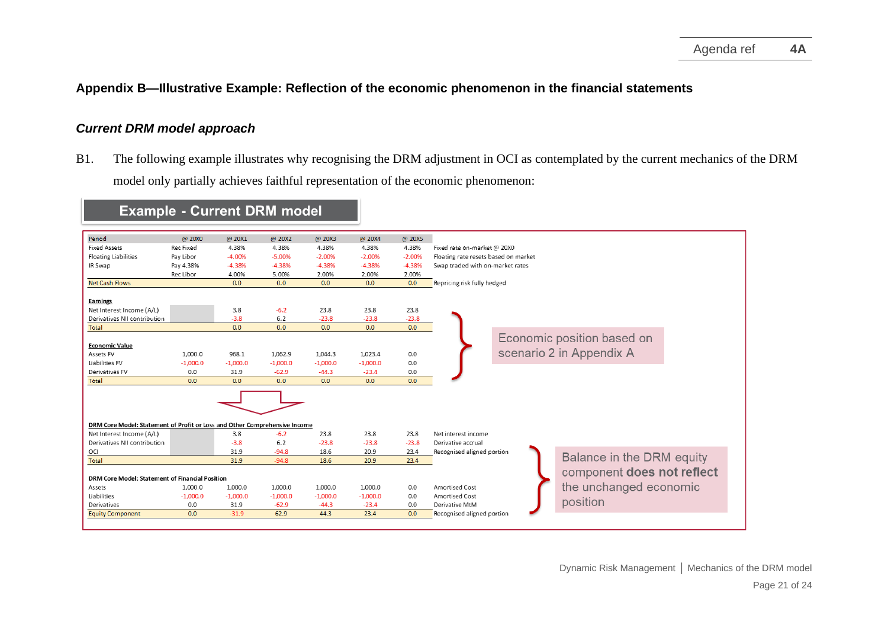#### **Appendix B—Illustrative Example: Reflection of the economic phenomenon in the financial statements**

#### *Current DRM model approach*

B1. The following example illustrates why recognising the DRM adjustment in OCI as contemplated by the current mechanics of the DRM model only partially achieves faithful representation of the economic phenomenon:

#### <span id="page-20-0"></span>Period @ 20X0 @ 20X1 @ 20X2 @ 20X3 @ 20X4 @ 20X5 **Fixed Assets** Rec Fixed 4.38% 4.38% 4.38% 4.38% 4.38% Fixed rate on-market @ 20X0 **Floating Liabilities**  $-4.00%$  $-5.00%$  $-2.00%$  $-2.00%$ Pay Libor  $-2.00%$ Floating rate resets based on market  $-4.38%$ IR Swap Pay 4.38%  $-4.38%$  $-4.38%$  $-4.38%$  $-4.38%$ Swap traded with on-market rates Rec Libor 4.00% 5.00% 2.00% 2.00% 2.00% **Net Cash Flows**  $0.0$  $0.0$  $0.0$  $0.0$  $0.0$ Repricing risk fully hedged Earnings  $3.8$  $-6.2$ 23.8 23.8 23.8 Net Interest Income (A/L) Derivatives NII contribution  $-3.8$  $6.2$  $-23.8$  $-23.8$  $-23.8$ Total  $\overline{0.0}$  $\overline{0.0}$  $0.0$  $0.0$  $0.0$ Economic position based on **Economic Value** scenario 2 in Appendix A Assets FV 1,000.0 968.1 1,062.9 1,044.3 1,023.4  $0.0$ Liabilities FV  $-1.000.0$  $-1.000.0$  $-1.000.0$  $-1.000.0$  $-1,000.0$  $0.0$  $0.0$ 31.9  $-62.9$  $-44.3$  $-23.4$  $0.0\,$ Derivatives FV Total  $0.0$  $0.0$  $0.0$  $0.0$  $0.0$  $0.0$ DRM Core Model: Statement of Profit or Loss and Other Comprehensive Income Net Interest Income (A/L)  $-6.2$ 23.8 23.8  $3.8$ 23.8 Net interest income Derivatives NII contribution  $-3.8$  $6.2$  $-23.8$  $-23.8$  $-23.8$ Derivative accrual 31.9  $-94.8$ OCI 18.6 20.9 23.4 Recognised aligned portion Balance in the DRM equity  $31.9$  $-94.8$ Total 18.6 20.9 23.4 component does not reflect DRM Core Model: Statement of Financial Position the unchanged economic Assets 1.000.0 1,000.0 1.000.0 1.000.0 1.000.0  $0.0$ **Amortised Cost** Liabilities  $-1,000.0$  $-1,000.0$  $-1,000.0$  $-1,000.0$  $-1,000.0$  $0.0$ Amortised Cost position Derivatives  $0.0$ 31.9  $-62.9$  $-44.3$  $-23.4$  $0.0$ Derivative MtM **Equity Component**  $0.0$  $-31.9$  $62.9$ 44.3  $23.4$  $0.0$ Recognised aligned portion

# **Example - Current DRM model**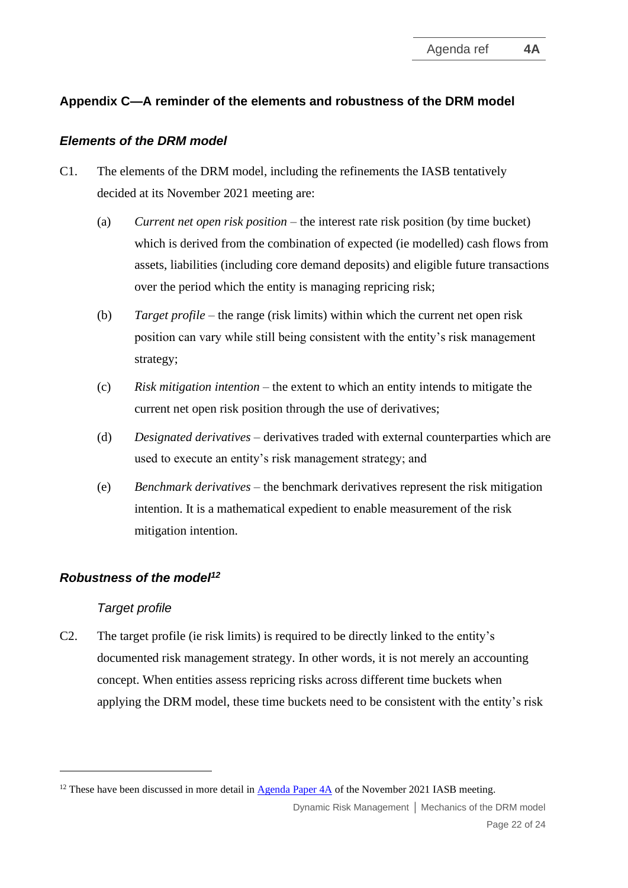# **Appendix C—A reminder of the elements and robustness of the DRM model**

#### *Elements of the DRM model*

- C1. The elements of the DRM model, including the refinements the IASB tentatively decided at its November 2021 meeting are:
	- (a) *Current net open risk position* the interest rate risk position (by time bucket) which is derived from the combination of expected (ie modelled) cash flows from assets, liabilities (including core demand deposits) and eligible future transactions over the period which the entity is managing repricing risk;
	- (b) *Target profile* the range (risk limits) within which the current net open risk position can vary while still being consistent with the entity's risk management strategy;
	- (c) *Risk mitigation intention* the extent to which an entity intends to mitigate the current net open risk position through the use of derivatives;
	- (d) *Designated derivatives* derivatives traded with external counterparties which are used to execute an entity's risk management strategy; and
	- (e) *Benchmark derivatives* the benchmark derivatives represent the risk mitigation intention. It is a mathematical expedient to enable measurement of the risk mitigation intention.

#### *Robustness of the model<sup>12</sup>*

#### *Target profile*

C2. The target profile (ie risk limits) is required to be directly linked to the entity's documented risk management strategy. In other words, it is not merely an accounting concept. When entities assess repricing risks across different time buckets when applying the DRM model, these time buckets need to be consistent with the entity's risk

<sup>&</sup>lt;sup>12</sup> These have been discussed in more detail in  $\Delta$ genda Paper 4 $\Delta$  of the November 2021 IASB meeting.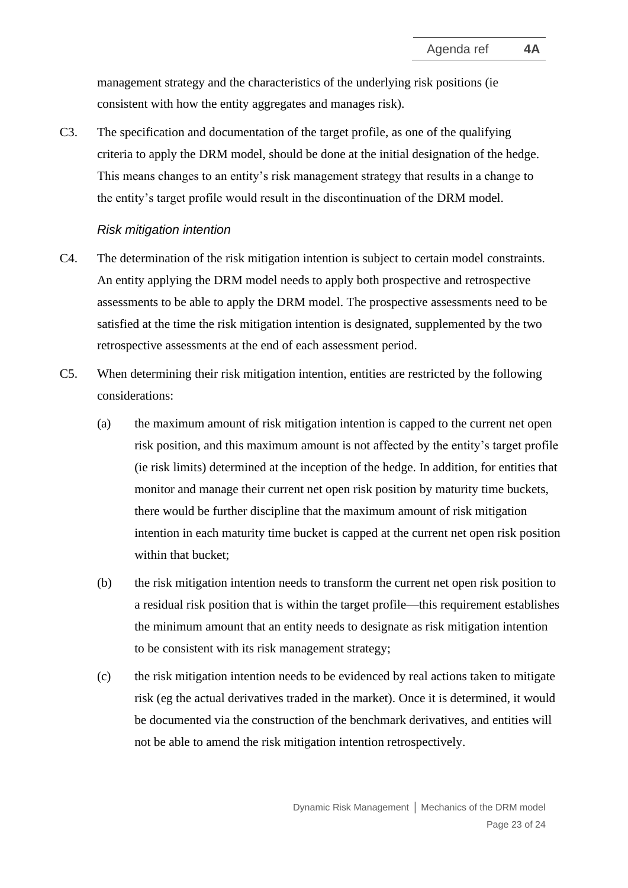management strategy and the characteristics of the underlying risk positions (ie consistent with how the entity aggregates and manages risk).

C3. The specification and documentation of the target profile, as one of the qualifying criteria to apply the DRM model, should be done at the initial designation of the hedge. This means changes to an entity's risk management strategy that results in a change to the entity's target profile would result in the discontinuation of the DRM model.

#### *Risk mitigation intention*

- C4. The determination of the risk mitigation intention is subject to certain model constraints. An entity applying the DRM model needs to apply both prospective and retrospective assessments to be able to apply the DRM model. The prospective assessments need to be satisfied at the time the risk mitigation intention is designated, supplemented by the two retrospective assessments at the end of each assessment period.
- C5. When determining their risk mitigation intention, entities are restricted by the following considerations:
	- (a) the maximum amount of risk mitigation intention is capped to the current net open risk position, and this maximum amount is not affected by the entity's target profile (ie risk limits) determined at the inception of the hedge. In addition, for entities that monitor and manage their current net open risk position by maturity time buckets, there would be further discipline that the maximum amount of risk mitigation intention in each maturity time bucket is capped at the current net open risk position within that bucket;
	- (b) the risk mitigation intention needs to transform the current net open risk position to a residual risk position that is within the target profile—this requirement establishes the minimum amount that an entity needs to designate as risk mitigation intention to be consistent with its risk management strategy;
	- (c) the risk mitigation intention needs to be evidenced by real actions taken to mitigate risk (eg the actual derivatives traded in the market). Once it is determined, it would be documented via the construction of the benchmark derivatives, and entities will not be able to amend the risk mitigation intention retrospectively.